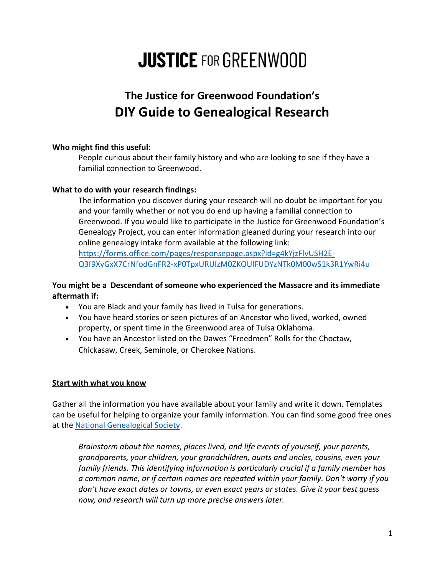# **JUSTICE FOR GREENWOOD**

# **The Justice for Greenwood Foundation's DIY Guide to Genealogical Research**

# **Who might find this useful:**

People curious about their family history and who are looking to see if they have a familial connection to Greenwood.

# **What to do with your research findings:**

The information you discover during your research will no doubt be important for you and your family whether or not you do end up having a familial connection to Greenwood. If you would like to participate in the Justice for Greenwood Foundation's Genealogy Project, you can enter information gleaned during your research into our online genealogy intake form available at the following link: [https://forms.office.com/pages/responsepage.aspx?id=g4kYjzFlvUSH2E-](https://forms.office.com/pages/responsepage.aspx?id=g4kYjzFlvUSH2E-Q3f9XyGxX7CrNfodGnFR2-xP0TpxURUIzM0ZKOUlFUDYzNTk0M00wS1k3R1YwRi4u)[Q3f9XyGxX7CrNfodGnFR2-xP0TpxURUIzM0ZKOUlFUDYzNTk0M00wS1k3R1YwRi4u](https://forms.office.com/pages/responsepage.aspx?id=g4kYjzFlvUSH2E-Q3f9XyGxX7CrNfodGnFR2-xP0TpxURUIzM0ZKOUlFUDYzNTk0M00wS1k3R1YwRi4u)

# **You might be a Descendant of someone who experienced the Massacre and its immediate aftermath if:**

- You are Black and your family has lived in Tulsa for generations.
- You have heard stories or seen pictures of an Ancestor who lived, worked, owned property, or spent time in the Greenwood area of Tulsa Oklahoma.
- You have an Ancestor listed on the Dawes "Freedmen" Rolls for the Choctaw, Chickasaw, Creek, Seminole, or Cherokee Nations.

# **Start with what you know**

Gather all the information you have available about your family and write it down. Templates can be useful for helping to organize your family information. You can find some good free ones at the [National Genealogical Society.](https://www.ngsgenealogy.org/free-resources/charts/)

*Brainstorm about the names, places lived, and life events of yourself, your parents, grandparents, your children, your grandchildren, aunts and uncles, cousins, even your family friends. This identifying information is particularly crucial if a family member has a common name, or if certain names are repeated within your family. Don't worry if you don't have exact dates or towns, or even exact years or states. Give it your best guess now, and research will turn up more precise answers later.*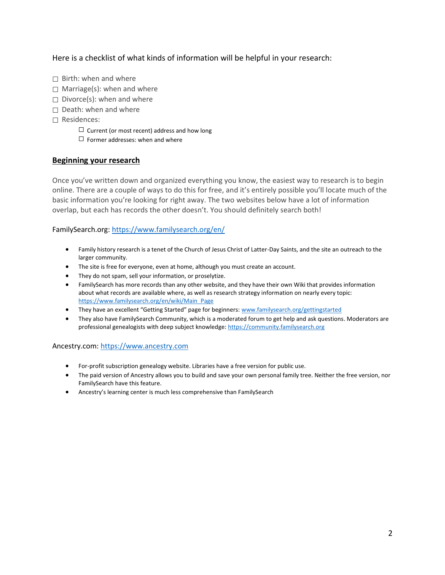Here is a checklist of what kinds of information will be helpful in your research:

- $\Box$  Birth: when and where
- $\Box$  Marriage(s): when and where
- $\Box$  Divorce(s): when and where
- $\Box$  Death: when and where
- ☐ Residences:
	- $\Box$  Current (or most recent) address and how long
	- $\Box$  Former addresses: when and where

#### **Beginning your research**

Once you've written down and organized everything you know, the easiest way to research is to begin online. There are a couple of ways to do this for free, and it's entirely possible you'll locate much of the basic information you're looking for right away. The two websites below have a lot of information overlap, but each has records the other doesn't. You should definitely search both!

#### FamilySearch.org:<https://www.familysearch.org/en/>

- Family history research is a tenet of the Church of Jesus Christ of Latter-Day Saints, and the site an outreach to the larger community.
- The site is free for everyone, even at home, although you must create an account.
- They do not spam, sell your information, or proselytize.
- FamilySearch has more records than any other website, and they have their own Wiki that provides information about what records are available where, as well as research strategy information on nearly every topic: [https://www.familysearch.org/en/wiki/Main\\_Page](https://www.familysearch.org/en/wiki/Main_Page)
- They have an excellent "Getting Started" page for beginners: [www.familysearch.org/gettingstarted](http://www.familysearch.org/gettingstarted)
- They also have FamilySearch Community, which is a moderated forum to get help and ask questions. Moderators are professional genealogists with deep subject knowledge: [https://community.familysearch.org](https://community.familysearch.org/)

#### Ancestry.com: [https://www.ancestry.com](https://www.ancestry.com/)

- For-profit subscription genealogy website. Libraries have a free version for public use.
- The paid version of Ancestry allows you to build and save your own personal family tree. Neither the free version, nor FamilySearch have this feature.
- Ancestry's learning center is much less comprehensive than FamilySearch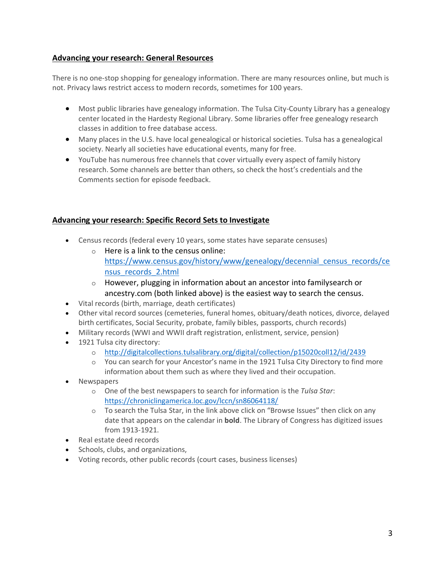### **Advancing your research: General Resources**

There is no one-stop shopping for genealogy information. There are many resources online, but much is not. Privacy laws restrict access to modern records, sometimes for 100 years.

- Most public libraries have genealogy information. The Tulsa City-County Library has a genealogy center located in the Hardesty Regional Library. Some libraries offer free genealogy research classes in addition to free database access.
- Many places in the U.S. have local genealogical or historical societies. Tulsa has a genealogical society. Nearly all societies have educational events, many for free.
- YouTube has numerous free channels that cover virtually every aspect of family history research. Some channels are better than others, so check the host's credentials and the Comments section for episode feedback.

# **Advancing your research: Specific Record Sets to Investigate**

- Census records (federal every 10 years, some states have separate censuses)
	- $\circ$  Here is a link to the census online: [https://www.census.gov/history/www/genealogy/decennial\\_census\\_records/ce](https://www.census.gov/history/www/genealogy/decennial_census_records/census_records_2.html) [nsus\\_records\\_2.html](https://www.census.gov/history/www/genealogy/decennial_census_records/census_records_2.html)
	- o However, plugging in information about an ancestor into familysearch or ancestry.com (both linked above) is the easiest way to search the census.
- Vital records (birth, marriage, death certificates)
- Other vital record sources (cemeteries, funeral homes, obituary/death notices, divorce, delayed birth certificates, Social Security, probate, family bibles, passports, church records)
- Military records (WWI and WWII draft registration, enlistment, service, pension)
- 1921 Tulsa city directory:
	- o <http://digitalcollections.tulsalibrary.org/digital/collection/p15020coll12/id/2439>
	- o You can search for your Ancestor's name in the 1921 Tulsa City Directory to find more information about them such as where they lived and their occupation.
- Newspapers
	- o One of the best newspapers to search for information is the *Tulsa Star*: <https://chroniclingamerica.loc.gov/lccn/sn86064118/>
	- o To search the Tulsa Star, in the link above click on "Browse Issues" then click on any date that appears on the calendar in **bold**. The Library of Congress has digitized issues from 1913-1921.
- Real estate deed records
- Schools, clubs, and organizations,
- Voting records, other public records (court cases, business licenses)